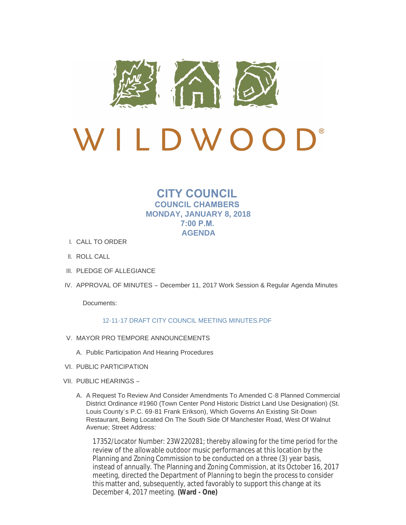

# LDWO

# **CITY COUNCIL COUNCIL CHAMBERS MONDAY, JANUARY 8, 2018 7:00 P.M. AGENDA**

- CALL TO ORDER I.
- II. ROLL CALL
- III. PLEDGE OF ALLEGIANCE
- IV. APPROVAL OF MINUTES December 11, 2017 Work Session & Regular Agenda Minutes

Documents:

# [12-11-17 DRAFT CITY COUNCIL MEETING MINUTES.PDF](http://mo-wildwood.civicplus.com/AgendaCenter/ViewFile/Item/13628?fileID=19398)

- V. MAYOR PRO TEMPORE ANNOUNCEMENTS
	- A. Public Participation And Hearing Procedures
- VI. PUBLIC PARTICIPATION
- VII. PUBLIC HEARINGS
	- A. A Request To Review And Consider Amendments To Amended C-8 Planned Commercial District Ordinance #1960 (Town Center Pond Historic District Land Use Designation) (St. Louis County's P.C. 69-81 Frank Erikson), Which Governs An Existing Sit-Down Restaurant, Being Located On The South Side Of Manchester Road, West Of Walnut Avenue; Street Address:

17352/Locator Number: 23W220281; thereby allowing for the time period for the review of the allowable outdoor music performances at this location by the Planning and Zoning Commission to be conducted on a three (3) year basis, instead of annually. The Planning and Zoning Commission, at its October 16, 2017 meeting, directed the Department of Planning to begin the process to consider this matter and, subsequently, acted favorably to support this change at its December 4, 2017 meeting. **(Ward - One)**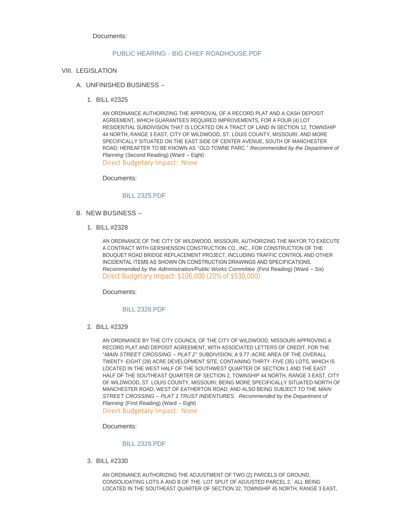Documents:

#### PUBLIC HEARING - [BIG CHIEF ROADHOUSE.PDF](http://mo-wildwood.civicplus.com/AgendaCenter/ViewFile/Item/13633?fileID=19399)

- VIII. LEGISLATION
	- UNFINISHED BUSINESS A.
		- BILL #2325 1.

AN ORDINANCE AUTHORIZING THE APPROVAL OF A RECORD PLAT AND A CASH DEPOSIT AGREEMENT, WHICH GUARANTEES REQUIRED IMPROVEMENTS, FOR A FOUR (4) LOT RESIDENTIAL SUBDIVISION THAT IS LOCATED ON A TRACT OF LAND IN SECTION 12, TOWNSHIP 44 NORTH, RANGE 3 EAST, CITY OF WILDWOOD, ST. LOUIS COUNTY, MISSOURI, AND MORE SPECIFICALLY SITUATED ON THE EAST SIDE OF CENTER AVENUE, SOUTH OF MANCHESTER ROAD; HEREAFTER TO BE KNOWN AS "OLD TOWNE PARC." *Recommended by the Department of Planning* (Second Reading) (Ward – Eight) Direct Budgetary Impact: None

Documents:

#### [BILL 2325.PDF](http://mo-wildwood.civicplus.com/AgendaCenter/ViewFile/Item/13636?fileID=19400)

- B. NEW BUSINESS
	- BILL #2328 1.

AN ORDINANCE OF THE CITY OF WILDWOOD, MISSOURI, AUTHORIZING THE MAYOR TO EXECUTE A CONTRACT WITH GERSHENSON CONSTRUCTION CO., INC., FOR CONSTRUCTION OF THE BOUQUET ROAD BRIDGE REPLACEMENT PROJECT, INCLUDING TRAFFIC CONTROL AND OTHER INCIDENTAL ITEMS AS SHOWN ON CONSTRUCTION DRAWINGS AND SPECIFICATIONS. *Recommended by the Administration/Public Works Committee (First Reading) (Ward - Six)* Direct Budgetary Impact: \$106,000 (20% of \$530,000)

Documents:

#### [BILL 2328.PDF](http://mo-wildwood.civicplus.com/AgendaCenter/ViewFile/Item/13638?fileID=19401)

BILL #2329 2.

AN ORDINANCE BY THE CITY COUNCIL OF THE CITY OF WILDWOOD, MISSOURI APPROVING A RECORD PLAT AND DEPOSIT AGREEMENT, WITH ASSOCIATED LETTERS OF CREDIT, FOR THE "*MAIN STREET CROSSING – PLAT 2*" SUBDIVISION; A 9.77-ACRE AREA OF THE OVERALL TWENTY-EIGHT (28) ACRE DEVELOPMENT SITE, CONTAINING THIRTY-FIVE (35) LOTS, WHICH IS LOCATED IN THE WEST HALF OF THE SOUTHWEST QUARTER OF SECTION 1 AND THE EAST HALF OF THE SOUTHEAST QUARTER OF SECTION 2, TOWNSHIP 44 NORTH, RANGE 3 EAST, CITY OF WILDWOOD, ST. LOUIS COUNTY, MISSOURI; BEING MORE SPECIFICALLY SITUATED NORTH OF MANCHESTER ROAD, WEST OF EATHERTON ROAD; AND ALSO BEING SUBJECT TO THE *MAIN STREET CROSSING – PLAT 1 TRUST INDENTURES. Recommended by the Department of Planning* (First Reading) (Ward – Eight)

Direct Budgetary Impact: None

Documents:

#### [BILL 2329.PDF](http://mo-wildwood.civicplus.com/AgendaCenter/ViewFile/Item/13639?fileID=19437)

BILL #2330 3.

AN ORDINANCE AUTHORIZING THE ADJUSTMENT OF TWO (2) PARCELS OF GROUND, CONSOLIDATING LOTS A AND B OF THE 'LOT SPLIT OF ADJUSTED PARCEL 2,' ALL BEING LOCATED IN THE SOUTHEAST QUARTER OF SECTION 32, TOWNSHIP 45 NORTH, RANGE 3 EAST,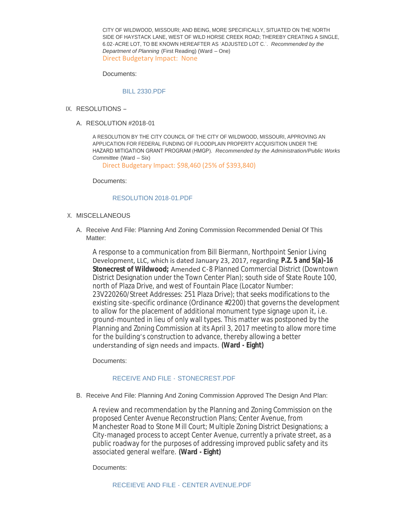CITY OF WILDWOOD, MISSOURI; AND BEING, MORE SPECIFICALLY, SITUATED ON THE NORTH SIDE OF HAYSTACK LANE, WEST OF WILD HORSE CREEK ROAD; THEREBY CREATING A SINGLE, 6.02-ACRE LOT, TO BE KNOWN HEREAFTER AS 'ADJUSTED LOT C.'. *Recommended by the Department of Planning* (First Reading) (Ward – One) Direct Budgetary Impact: None

Documents:

# [BILL 2330.PDF](http://mo-wildwood.civicplus.com/AgendaCenter/ViewFile/Item/13640?fileID=19403)

- IX. RESOLUTIONS
	- A. RESOLUTION #2018-01

A RESOLUTION BY THE CITY COUNCIL OF THE CITY OF WILDWOOD, MISSOURI, APPROVING AN APPLICATION FOR FEDERAL FUNDING OF FLOODPLAIN PROPERTY ACQUISITION UNDER THE HAZARD MITIGATION GRANT PROGRAM (HMGP). *Recommended by the Administration/Public Works Committee* (Ward – Six)

Direct Budgetary Impact: \$98,460 (25% of \$393,840)

Documents:

## [RESOLUTION 2018-01.PDF](http://mo-wildwood.civicplus.com/AgendaCenter/ViewFile/Item/13642?fileID=19404)

- X. MISCELLANEOUS
	- A. Receive And File: Planning And Zoning Commission Recommended Denial Of This Matter:

A response to a communication from Bill Biermann, Northpoint Senior Living Development, LLC, which is dated January 23, 2017, regarding **P.Z. 5 and 5(a)-16 Stonecrest of Wildwood;** Amended C-8 Planned Commercial District (Downtown District Designation under the Town Center Plan); south side of State Route 100, north of Plaza Drive, and west of Fountain Place (Locator Number: 23V220260/Street Addresses: 251 Plaza Drive); that seeks modifications to the existing site-specific ordinance (Ordinance #2200) that governs the development to allow for the placement of additional monument type signage upon it, i.e. ground-mounted in lieu of only wall types. This matter was postponed by the Planning and Zoning Commission at its April 3, 2017 meeting to allow more time for the building's construction to advance, thereby allowing a better understanding of sign needs and impacts. **(Ward - Eight)**

Documents:

#### [RECEIVE AND FILE -](http://mo-wildwood.civicplus.com/AgendaCenter/ViewFile/Item/13644?fileID=19405) STONECREST.PDF

B. Receive And File: Planning And Zoning Commission Approved The Design And Plan:

A review and recommendation by the Planning and Zoning Commission on the proposed Center Avenue Reconstruction Plans; Center Avenue, from Manchester Road to Stone Mill Court; Multiple Zoning District Designations; a City-managed process to accept Center Avenue, currently a private street, as a public roadway for the purposes of addressing improved public safety and its associated general welfare. **(Ward - Eight)**

Documents: